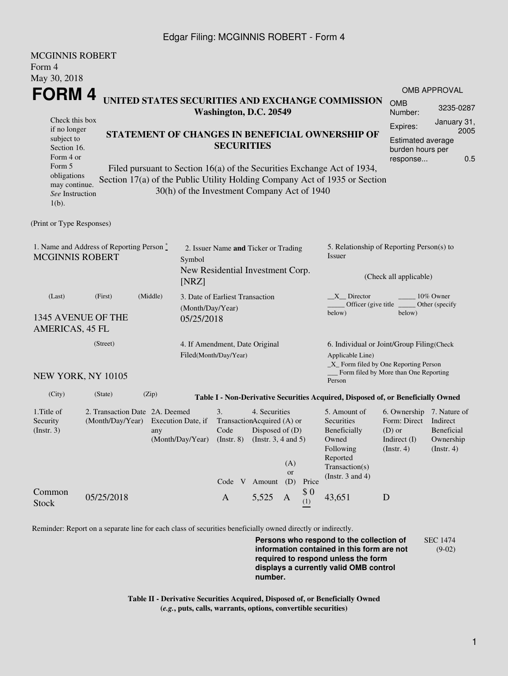### Edgar Filing: MCGINNIS ROBERT - Form 4

| <b>MCGINNIS ROBERT</b><br>Form 4<br>May 30, 2018                                                                                                  |                                                                       |                                                                                                                                                                                                                                                                              |                                                                                             |                                                                                                                  |                         |            |                                                                                                                         |                                                                                                      |                                        |  |
|---------------------------------------------------------------------------------------------------------------------------------------------------|-----------------------------------------------------------------------|------------------------------------------------------------------------------------------------------------------------------------------------------------------------------------------------------------------------------------------------------------------------------|---------------------------------------------------------------------------------------------|------------------------------------------------------------------------------------------------------------------|-------------------------|------------|-------------------------------------------------------------------------------------------------------------------------|------------------------------------------------------------------------------------------------------|----------------------------------------|--|
| FORM 4                                                                                                                                            |                                                                       | UNITED STATES SECURITIES AND EXCHANGE COMMISSION<br>Washington, D.C. 20549                                                                                                                                                                                                   |                                                                                             |                                                                                                                  |                         |            |                                                                                                                         |                                                                                                      | <b>OMB APPROVAL</b><br>3235-0287       |  |
| Check this box<br>if no longer<br>subject to<br>Section 16.<br>Form 4 or<br>Form 5<br>obligations<br>may continue.<br>See Instruction<br>$1(b)$ . |                                                                       | STATEMENT OF CHANGES IN BENEFICIAL OWNERSHIP OF<br><b>SECURITIES</b><br>Filed pursuant to Section 16(a) of the Securities Exchange Act of 1934,<br>Section 17(a) of the Public Utility Holding Company Act of 1935 or Section<br>30(h) of the Investment Company Act of 1940 |                                                                                             |                                                                                                                  |                         |            |                                                                                                                         | January 31,<br>Expires:<br>2005<br>Estimated average<br>burden hours per<br>0.5<br>response          |                                        |  |
| (Print or Type Responses)                                                                                                                         |                                                                       |                                                                                                                                                                                                                                                                              |                                                                                             |                                                                                                                  |                         |            |                                                                                                                         |                                                                                                      |                                        |  |
| 1. Name and Address of Reporting Person $\stackrel{*}{\mathbb{L}}$<br><b>MCGINNIS ROBERT</b>                                                      |                                                                       |                                                                                                                                                                                                                                                                              | 2. Issuer Name and Ticker or Trading<br>Symbol<br>New Residential Investment Corp.<br>[NRZ] |                                                                                                                  |                         |            | 5. Relationship of Reporting Person(s) to<br>Issuer<br>(Check all applicable)                                           |                                                                                                      |                                        |  |
| (Last)<br>1345 AVENUE OF THE<br>AMERICAS, 45 FL                                                                                                   | (First)                                                               | (Middle)<br>05/25/2018                                                                                                                                                                                                                                                       | 3. Date of Earliest Transaction<br>(Month/Day/Year)                                         |                                                                                                                  |                         |            | X Director<br>Officer (give title _<br>below)                                                                           | below)                                                                                               | 10% Owner<br>Other (specify)           |  |
| (Street)                                                                                                                                          |                                                                       |                                                                                                                                                                                                                                                                              | 4. If Amendment, Date Original<br>Filed(Month/Day/Year)                                     |                                                                                                                  |                         |            | 6. Individual or Joint/Group Filing(Check<br>Applicable Line)<br>_X_ Form filed by One Reporting Person                 |                                                                                                      |                                        |  |
| NEW YORK, NY 10105                                                                                                                                |                                                                       |                                                                                                                                                                                                                                                                              |                                                                                             |                                                                                                                  |                         |            | Person                                                                                                                  | Form filed by More than One Reporting                                                                |                                        |  |
| (City)                                                                                                                                            | (State)                                                               | (Zip)                                                                                                                                                                                                                                                                        |                                                                                             |                                                                                                                  |                         |            | Table I - Non-Derivative Securities Acquired, Disposed of, or Beneficially Owned                                        |                                                                                                      |                                        |  |
| 1. Title of<br>Security<br>(Insert. 3)                                                                                                            | 2. Transaction Date 2A. Deemed<br>(Month/Day/Year) Execution Date, if | any<br>(Month/Day/Year)                                                                                                                                                                                                                                                      | 3.<br>$($ Instr. $8)$                                                                       | 4. Securities<br>TransactionAcquired (A) or<br>Code Disposed of (D)<br>(Instr. $3, 4$ and $5$ )<br>Code V Amount | (A)<br><b>or</b><br>(D) | Price      | 5. Amount of<br>Securities<br>Beneficially<br>Owned<br>Following<br>Reported<br>Transaction(s)<br>(Instr. $3$ and $4$ ) | 6. Ownership 7. Nature of<br>Form: Direct Indirect<br>$(D)$ or<br>Indirect $(I)$<br>$($ Instr. 4 $)$ | Beneficial<br>Ownership<br>(Insert. 4) |  |
| Common<br><b>Stock</b>                                                                                                                            | 05/25/2018                                                            |                                                                                                                                                                                                                                                                              | $\mathbf{A}$                                                                                | 5,525                                                                                                            | A                       | \$0<br>(1) | 43,651                                                                                                                  | D                                                                                                    |                                        |  |

Reminder: Report on a separate line for each class of securities beneficially owned directly or indirectly.

**Persons who respond to the collection of information contained in this form are not required to respond unless the form displays a currently valid OMB control number.** SEC 1474 (9-02)

**Table II - Derivative Securities Acquired, Disposed of, or Beneficially Owned (***e.g.***, puts, calls, warrants, options, convertible securities)**